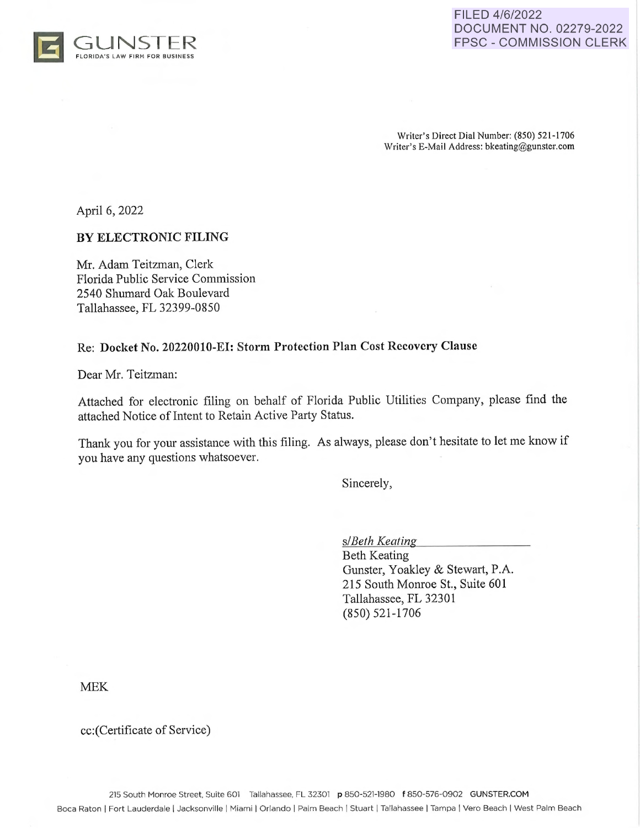



Writer's Direct Dial Number: (850) 521-1706 Writer's E-Mail Address: bkeating@gunster.com

April 6, 2022

#### **BY ELECTRONIC FILING**

Mr. Adam Teitzman, Clerk Florida Public Service Commission 2540 Shumard Oak Boulevard Tallahassee, FL 32399-0850

#### Re: Docket No. 20220010-EI: Storm Protection Plan Cost Recovery Clause

Dear Mr. Teitzman:

Attached for electronic filing on behalf of Florida Public Utilities Company, please find the attached Notice of Intent to Retain Active Party Status.

Thank you for your assistance with this filing. As always, please don't hesitate to let me know if you have any questions whatsoever.

Sincerely,

*s/Beth Keating* 

Beth Keating Gunster, Yoakley & Stewart, P.A. 215 South Monroe St., Suite 601 Tallahassee, FL 32301 (850) 521-1706

MEK

cc:(Certificate of Service)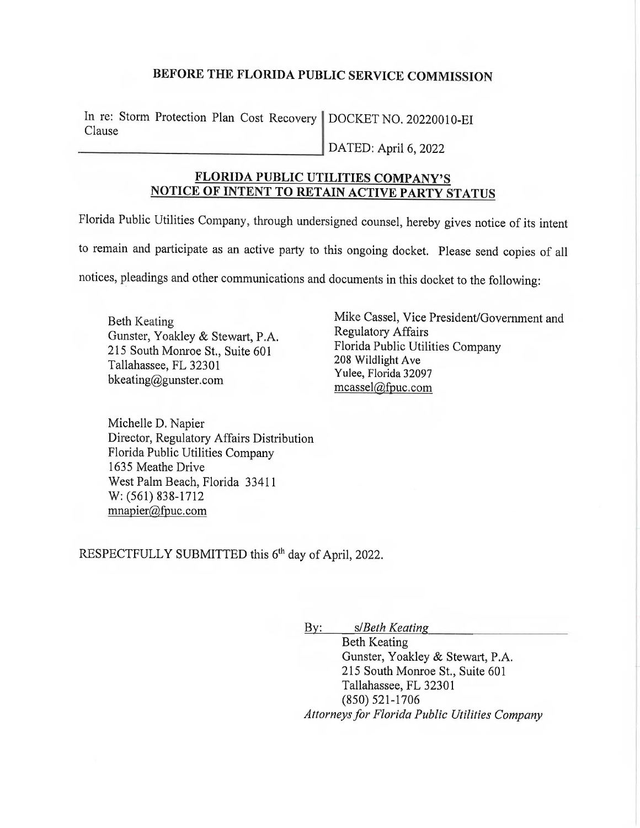## **BEFORE THE FLORIDA PUBLIC SERVICE COMMISSION**

In re: Storm Protection Plan Cost Recovery | DOCKET NO. 20220010-EI Clause

DATED: April 6, 2022

## **FLORIDA PUBLIC UTILITIES COMPANY'S NOTICE OF INTENT TO RETAIN ACTIVE PARTY STATUS**

Florida Public Utilities Company, through undersigned counsel, hereby gives notice of its intent to remain and participate as an active party to this ongoing docket. Please send copies of all notices, pleadings and other communications and documents in this docket to the following:

Beth Keating Gunster, Yoakley & Stewart, P.A. 215 South Monroe St., Suite 601 Tallahassee, FL 32301 bkeating@gunster.com

Michelle D. Napier Director, Regulatory Affairs Distribution Florida Public Utilities Company 1635 Meathe Drive West Palm Beach, Florida 33411 W: (561) 838-1712 mnapier@fpuc.com

Mike Cassel, Vice President/Government and Regulatory Affairs Florida Public Utilities Company 208 Wildlight Ave Yulee, Florida 32097 mcassel@fpuc.com

RESPECTFULLY SUBMITTED this 6<sup>th</sup> day of April, 2022.

By: s/ *Beth Keating* 

Beth Keating Gunster, Yoakley & Stewart, P.A. 215 South Monroe St., Suite 601 Tallahassee, FL 32301 (850) 521-1706 *Attorneys for Florida Public Utilities Company*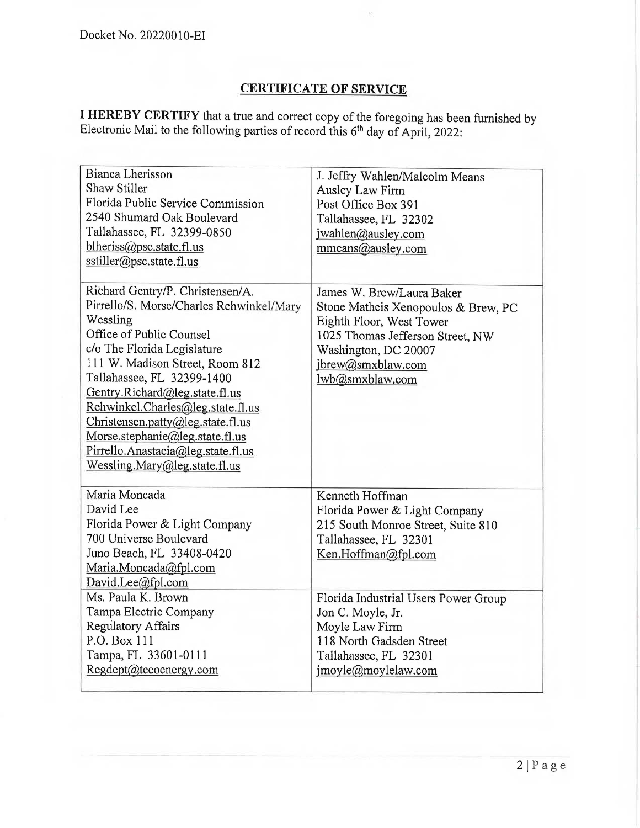# **CERTIFICATE OF SERVICE**

**I HEREBY CERTIFY** that a true and correct copy of the foregoing has been furnished by Electronic Mail to the following parties of record this  $6<sup>th</sup>$  day of April, 2022:

| Bianca Lherisson<br><b>Shaw Stiller</b><br>Florida Public Service Commission<br>2540 Shumard Oak Boulevard<br>Tallahassee, FL 32399-0850<br>blheriss@psc.state.fl.us<br>sstiller@psc.state.fl.us<br>Richard Gentry/P. Christensen/A.                                                                                                                                                                   | J. Jeffry Wahlen/Malcolm Means<br>Ausley Law Firm<br>Post Office Box 391<br>Tallahassee, FL 32302<br>jwahlen@ausley.com<br>mmeans@ausley.com<br>James W. Brew/Laura Baker |
|--------------------------------------------------------------------------------------------------------------------------------------------------------------------------------------------------------------------------------------------------------------------------------------------------------------------------------------------------------------------------------------------------------|---------------------------------------------------------------------------------------------------------------------------------------------------------------------------|
| Pirrello/S. Morse/Charles Rehwinkel/Mary<br>Wessling<br>Office of Public Counsel<br>c/o The Florida Legislature<br>111 W. Madison Street, Room 812<br>Tallahassee, FL 32399-1400<br>Gentry.Richard@leg.state.fl.us<br>Rehwinkel.Charles@leg.state.fl.us<br>Christensen.patty@leg.state.fl.us<br>Morse.stephanie@leg.state.fl.us<br>Pirrello.Anastacia@leg.state.fl.us<br>Wessling.Mary@leg.state.fl.us | Stone Matheis Xenopoulos & Brew, PC<br>Eighth Floor, West Tower<br>1025 Thomas Jefferson Street, NW<br>Washington, DC 20007<br>jbrew@smxblaw.com<br>lwb@smxblaw.com       |
| Maria Moncada<br>David Lee<br>Florida Power & Light Company<br>700 Universe Boulevard<br>Juno Beach, FL 33408-0420<br>Maria.Moncada@fpl.com<br>David.Lee@fpl.com                                                                                                                                                                                                                                       | Kenneth Hoffman<br>Florida Power & Light Company<br>215 South Monroe Street, Suite 810<br>Tallahassee, FL 32301<br>Ken.Hoffman@fpl.com                                    |
| Ms. Paula K. Brown<br>Tampa Electric Company<br><b>Regulatory Affairs</b><br>P.O. Box 111<br>Tampa, FL 33601-0111<br>Regdept@tecoenergy.com                                                                                                                                                                                                                                                            | Florida Industrial Users Power Group<br>Jon C. Moyle, Jr.<br>Moyle Law Firm<br>118 North Gadsden Street<br>Tallahassee, FL 32301<br>jmoyle@moylelaw.com                   |